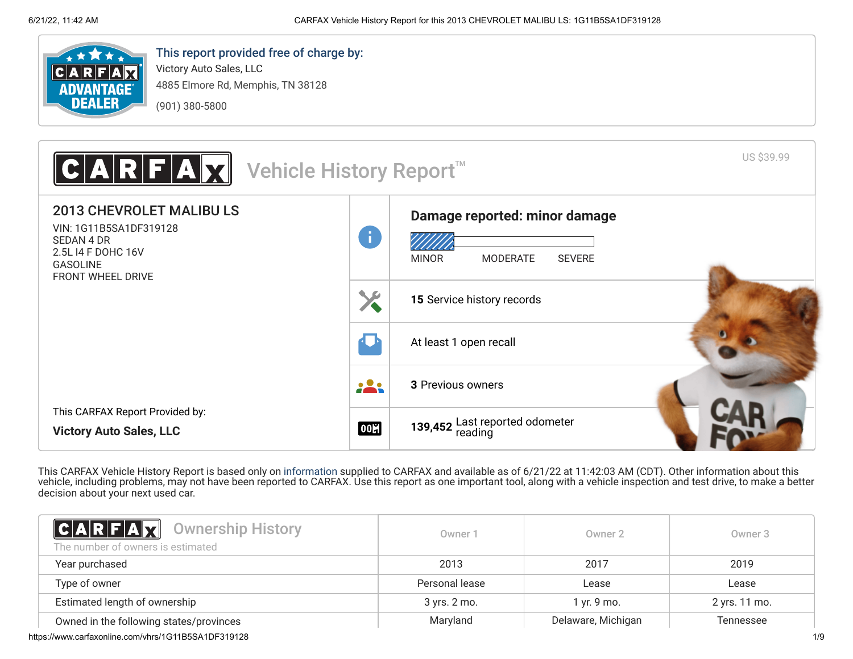

# This report provided free of charge by:

Victory Auto Sales, LLC 4885 Elmore Rd, Memphis, TN 38128 (901) 380-5800



This CARFAX Vehicle History Report is based only on [information](http://www.carfax.com/company/vhr-data-sources) supplied to CARFAX and available as of 6/21/22 at 11:42:03 AM (CDT). Other information about this vehicle, including problems, may not have been reported to CARFAX. Use this report as one important tool, along with a vehicle inspection and test drive, to make a better decision about your next used car.

<span id="page-0-0"></span>

| <b>CARFAX</b> Ownership History<br>The number of owners is estimated | Owner 1        | Owner 2            | Owner 3       |
|----------------------------------------------------------------------|----------------|--------------------|---------------|
| Year purchased                                                       | 2013           | 2017               | 2019          |
| Type of owner                                                        | Personal lease | Lease              | Lease         |
| Estimated length of ownership                                        | 3 yrs. 2 mo.   | 1 yr. 9 mo.        | 2 yrs. 11 mo. |
| Owned in the following states/provinces                              | Maryland       | Delaware, Michigan | Tennessee     |

https://www.carfaxonline.com/vhrs/1G11B5SA1DF319128 1/9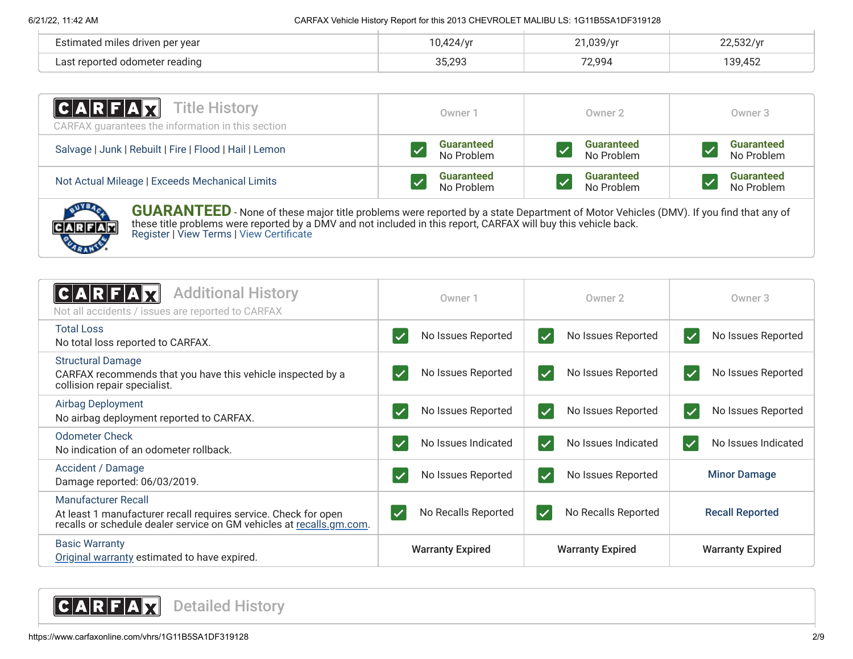### 6/21/22, 11:42 AM CARFAX Vehicle History Report for this 2013 CHEVROLET MALIBU LS: 1G11B5SA1DF319128

| Estimated miles driven per year    |        | 020/yr | 532/m           |
|------------------------------------|--------|--------|-----------------|
| l odometer reading<br>act ranortad | 35.293 | 72,994 | 139 45<br>ے ت-. |

| $ C A R F A \overline{X}$<br>Title History<br>CARFAX guarantees the information in this section | Owner 1           | Owner 2           | Owner 3           |
|-------------------------------------------------------------------------------------------------|-------------------|-------------------|-------------------|
| Salvage   Junk   Rebuilt   Fire   Flood   Hail   Lemon                                          | <b>Guaranteed</b> | <b>Guaranteed</b> | <b>Guaranteed</b> |
|                                                                                                 | No Problem        | No Problem        | No Problem        |
| Not Actual Mileage   Exceeds Mechanical Limits                                                  | <b>Guaranteed</b> | <b>Guaranteed</b> | <b>Guaranteed</b> |
|                                                                                                 | No Problem        | No Problem        | No Problem        |



**GUARANTEED** - None of these major title problems were reported by a state Department of Motor Vehicles (DMV). If you find that any of these title problems were reported by a DMV and not included in this report, CARFAX will buy this vehicle back. [Register](https://www.carfax.com/Service/bbg) | [View Terms](http://www.carfaxonline.com/legal/bbgTerms) | [View Certificate](https://www.carfaxonline.com/vhrs/1G11B5SA1DF319128)

<span id="page-1-1"></span><span id="page-1-0"></span>

| <b>Additional History</b><br>Not all accidents / issues are reported to CARFAX                                                                                 | Owner 1                             | Owner 2                                       | Owner 3                                       |
|----------------------------------------------------------------------------------------------------------------------------------------------------------------|-------------------------------------|-----------------------------------------------|-----------------------------------------------|
| <b>Total Loss</b><br>No total loss reported to CARFAX.                                                                                                         | No Issues Reported                  | No Issues Reported<br>$\blacktriangledown$    | No Issues Reported<br>$\blacktriangledown$    |
| <b>Structural Damage</b><br>CARFAX recommends that you have this vehicle inspected by a<br>collision repair specialist.                                        | No Issues Reported<br>$\checkmark$  | No Issues Reported<br>$\blacktriangledown$    | No Issues Reported<br>$\blacktriangledown$    |
| Airbag Deployment<br>No airbag deployment reported to CARFAX.                                                                                                  | No Issues Reported                  | No Issues Reported<br>$\overline{\checkmark}$ | No Issues Reported<br>$\overline{\checkmark}$ |
| <b>Odometer Check</b><br>No indication of an odometer rollback.                                                                                                | No Issues Indicated                 | No Issues Indicated<br>$\vert \checkmark$     | No Issues Indicated<br>$\blacktriangledown$   |
| Accident / Damage<br>Damage reported: 06/03/2019.                                                                                                              | No Issues Reported                  | No Issues Reported<br>$\overline{\checkmark}$ | <b>Minor Damage</b>                           |
| Manufacturer Recall<br>At least 1 manufacturer recall requires service. Check for open<br>recalls or schedule dealer service on GM vehicles at recalls.gm.com. | No Recalls Reported<br>$\checkmark$ | No Recalls Reported<br>$\checkmark$           | <b>Recall Reported</b>                        |
| <b>Basic Warranty</b><br>Original warranty estimated to have expired.                                                                                          | <b>Warranty Expired</b>             | <b>Warranty Expired</b>                       | <b>Warranty Expired</b>                       |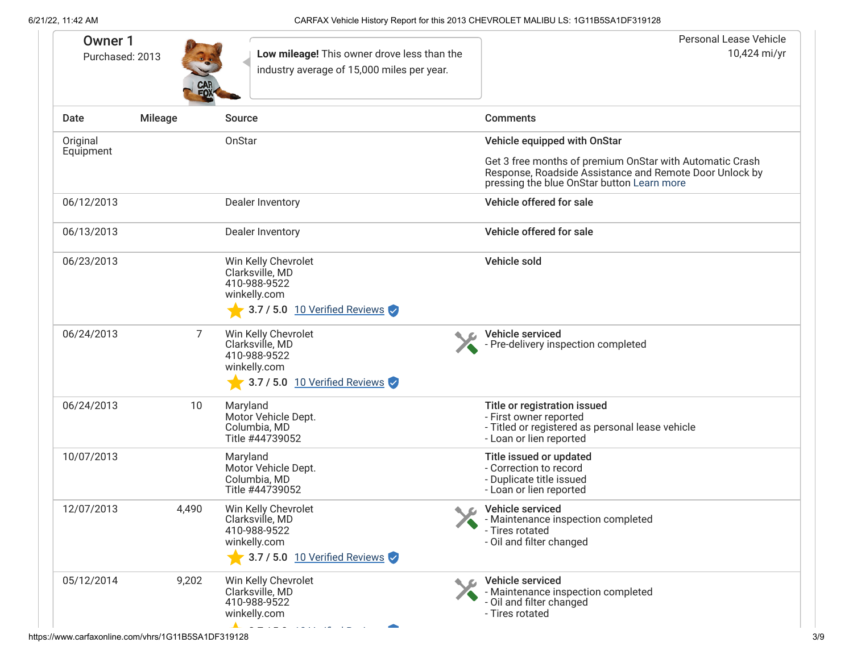| <b>Owner 1</b><br>Purchased: 2013 |                | Low mileage! This owner drove less than the<br>industry average of 15,000 miles per year.                                                                                                                                                                                                                          | Personal Lease Vehicle<br>10,424 mi/yr                                                                                                                                                            |
|-----------------------------------|----------------|--------------------------------------------------------------------------------------------------------------------------------------------------------------------------------------------------------------------------------------------------------------------------------------------------------------------|---------------------------------------------------------------------------------------------------------------------------------------------------------------------------------------------------|
| Date                              | <b>Mileage</b> | <b>Source</b>                                                                                                                                                                                                                                                                                                      | <b>Comments</b>                                                                                                                                                                                   |
| Original<br>Equipment             |                | OnStar                                                                                                                                                                                                                                                                                                             | Vehicle equipped with OnStar<br>Get 3 free months of premium OnStar with Automatic Crash<br>Response, Roadside Assistance and Remote Door Unlock by<br>pressing the blue OnStar button Learn more |
| 06/12/2013                        |                | Dealer Inventory                                                                                                                                                                                                                                                                                                   | Vehicle offered for sale                                                                                                                                                                          |
| 06/13/2013                        |                | Dealer Inventory                                                                                                                                                                                                                                                                                                   | Vehicle offered for sale                                                                                                                                                                          |
| 06/23/2013                        |                | Win Kelly Chevrolet<br>Clarksville, MD<br>410-988-9522<br>winkelly.com                                                                                                                                                                                                                                             | Vehicle sold                                                                                                                                                                                      |
| 06/24/2013                        | 7              | $\bullet$ 3.7 / 5.0 10 Verified Reviews<br>Win Kelly Chevrolet<br>Clarksville, MD<br>410-988-9522<br>winkelly.com<br>3.7 / 5.0 10 Verified Reviews                                                                                                                                                                 | Vehicle serviced<br>- Pre-delivery inspection completed                                                                                                                                           |
| 06/24/2013                        | 10             | Maryland<br>Motor Vehicle Dept.<br>Columbia, MD<br>Title #44739052                                                                                                                                                                                                                                                 | Title or registration issued<br>- First owner reported<br>- Titled or registered as personal lease vehicle<br>- Loan or lien reported                                                             |
| 10/07/2013                        |                | Maryland<br>Motor Vehicle Dept.<br>Columbia, MD<br>Title #44739052                                                                                                                                                                                                                                                 | Title issued or updated<br>- Correction to record<br>- Duplicate title issued<br>- Loan or lien reported                                                                                          |
| 12/07/2013                        | 4.490          | Win Kelly Chevrolet<br>Clarksville, MD<br>410-988-9522<br>winkelly.com<br>3.7 / 5.0 10 Verified Reviews                                                                                                                                                                                                            | C Vehicle serviced<br>- Maintenance inspection completed<br>- Tires rotated<br>- Oil and filter changed                                                                                           |
| 05/12/2014                        | 9,202          | Win Kelly Chevrolet<br>Clarksville, MD<br>410-988-9522<br>winkelly.com<br>$\blacktriangle$ and the set of the set of the set of the set of the set of the set of the set of the set of the set of the set of the set of the set of the set of the set of the set of the set of the set of the set of the set of th | Vehicle serviced<br>- Maintenance inspection completed<br>- Oil and filter changed<br>- Tires rotated                                                                                             |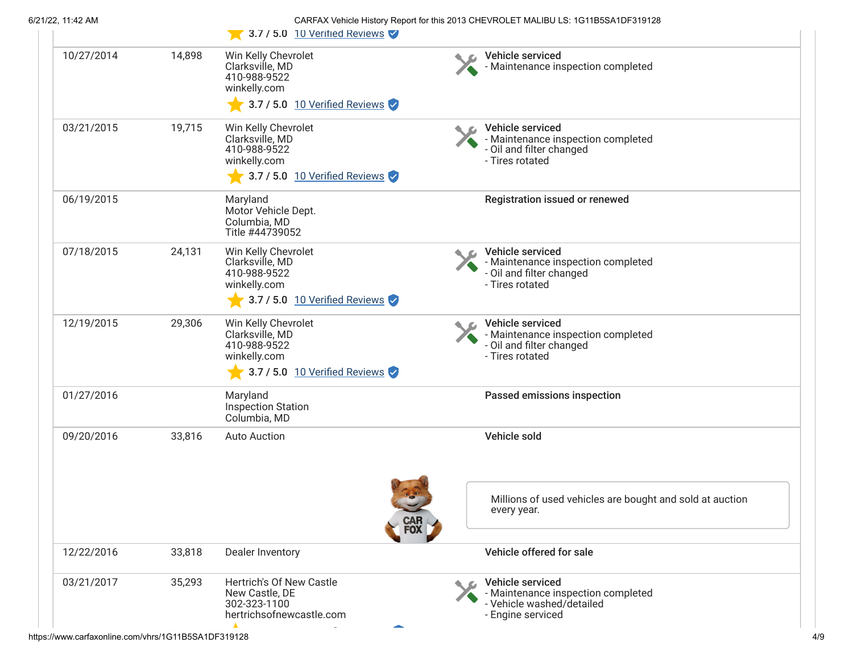|            |        | 3.7 / 5.0 10 Verified Reviews                                                                                  |     |                                                                                                          |
|------------|--------|----------------------------------------------------------------------------------------------------------------|-----|----------------------------------------------------------------------------------------------------------|
| 10/27/2014 | 14,898 | Win Kelly Chevrolet<br>Clarksville, MD<br>410-988-9522<br>winkelly.com<br>$\sqrt{3.7/5.0}$ 10 Verified Reviews |     | Vehicle serviced<br>- Maintenance inspection completed                                                   |
| 03/21/2015 | 19,715 | Win Kelly Chevrolet<br>Clarksville, MD<br>410-988-9522<br>winkelly.com<br>$\sim$ 3.7 / 5.0 10 Verified Reviews |     | Vehicle serviced<br>- Maintenance inspection completed<br>- Oil and filter changed<br>- Tires rotated    |
| 06/19/2015 |        | Maryland<br>Motor Vehicle Dept.<br>Columbia, MD<br>Title #44739052                                             |     | Registration issued or renewed                                                                           |
| 07/18/2015 | 24,131 | Win Kelly Chevrolet<br>Clarksville, MD<br>410-988-9522<br>winkelly.com<br>$\sqrt{3.7/5.0}$ 10 Verified Reviews |     | Vehicle serviced<br>- Maintenance inspection completed<br>- Oil and filter changed<br>- Tires rotated    |
| 12/19/2015 | 29,306 | Win Kelly Chevrolet<br>Clarksville, MD<br>410-988-9522<br>winkelly.com<br>$\sqrt{3.7/5.0}$ 10 Verified Reviews |     | Vehicle serviced<br>- Maintenance inspection completed<br>- Oil and filter changed<br>- Tires rotated    |
| 01/27/2016 |        | Maryland<br><b>Inspection Station</b><br>Columbia, MD                                                          |     | Passed emissions inspection                                                                              |
| 09/20/2016 | 33,816 | <b>Auto Auction</b>                                                                                            |     | Vehicle sold                                                                                             |
|            |        |                                                                                                                | FOX | Millions of used vehicles are bought and sold at auction<br>every year.                                  |
| 12/22/2016 | 33,818 | Dealer Inventory                                                                                               |     | Vehicle offered for sale                                                                                 |
| 03/21/2017 | 35,293 | Hertrich's Of New Castle<br>New Castle, DE<br>302-323-1100<br>hertrichsofnewcastle.com                         |     | Vehicle serviced<br>- Maintenance inspection completed<br>- Vehicle washed/detailed<br>- Engine serviced |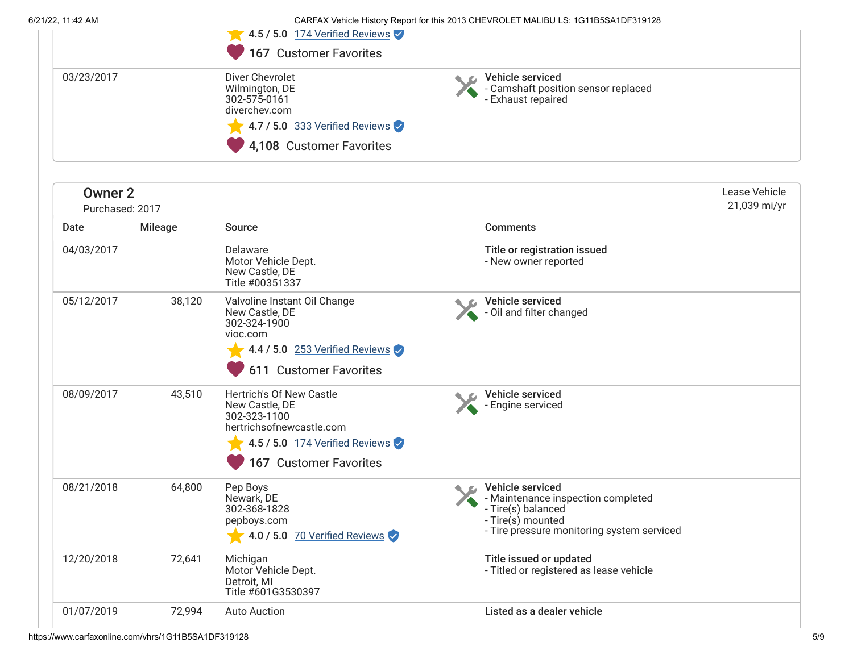6/21/22, 11:42 AM CARFAX Vehicle History Report for this 2013 CHEVROLET MALIBU LS: 1G11B5SA1DF319128

|            | $\sqrt{4.5/5.0}$ 174 Verified Reviews<br>167 Customer Favorites                                                                         |                                                                               |  |
|------------|-----------------------------------------------------------------------------------------------------------------------------------------|-------------------------------------------------------------------------------|--|
| 03/23/2017 | Diver Chevrolet<br>Wilmington, DE<br>302-575-0161<br>diverchey.com<br>$\sqrt{4.7/5.0}$ 333 Verified Reviews<br>4,108 Customer Favorites | Vehicle serviced<br>- Camshaft position sensor replaced<br>- Exhaust repaired |  |

| <b>Owner 2</b><br>Purchased: 2017 |                |                                                                                                                                                    |                                                                                                                                                 | Lease Vehicle<br>21,039 mi/yr |
|-----------------------------------|----------------|----------------------------------------------------------------------------------------------------------------------------------------------------|-------------------------------------------------------------------------------------------------------------------------------------------------|-------------------------------|
| Date                              | <b>Mileage</b> | <b>Source</b>                                                                                                                                      | <b>Comments</b>                                                                                                                                 |                               |
| 04/03/2017                        |                | Delaware<br>Motor Vehicle Dept.<br>New Castle, DE<br>Title #00351337                                                                               | Title or registration issued<br>- New owner reported                                                                                            |                               |
| 05/12/2017                        | 38,120         | Valvoline Instant Oil Change<br>New Castle, DE<br>302-324-1900<br>vioc.com<br>4.4 / 5.0 253 Verified Reviews<br>611 Customer Favorites             | Vehicle serviced<br>- Oil and filter changed                                                                                                    |                               |
| 08/09/2017                        | 43,510         | Hertrich's Of New Castle<br>New Castle, DE<br>302-323-1100<br>hertrichsofnewcastle.com<br>4.5 / 5.0 174 Verified Reviews<br>167 Customer Favorites | Vehicle serviced<br>- Engine serviced                                                                                                           |                               |
| 08/21/2018                        | 64,800         | Pep Boys<br>Newark, DE<br>302-368-1828<br>pepboys.com<br>4.0 / 5.0 70 Verified Reviews                                                             | Vehicle serviced<br>- Maintenance inspection completed<br>- Tire(s) balanced<br>- Tire(s) mounted<br>- Tire pressure monitoring system serviced |                               |
| 12/20/2018                        | 72,641         | Michigan<br>Motor Vehicle Dept.<br>Detroit, MI<br>Title #601G3530397                                                                               | Title issued or updated<br>- Titled or registered as lease vehicle                                                                              |                               |
| 01/07/2019                        | 72,994         | <b>Auto Auction</b>                                                                                                                                | Listed as a dealer vehicle                                                                                                                      |                               |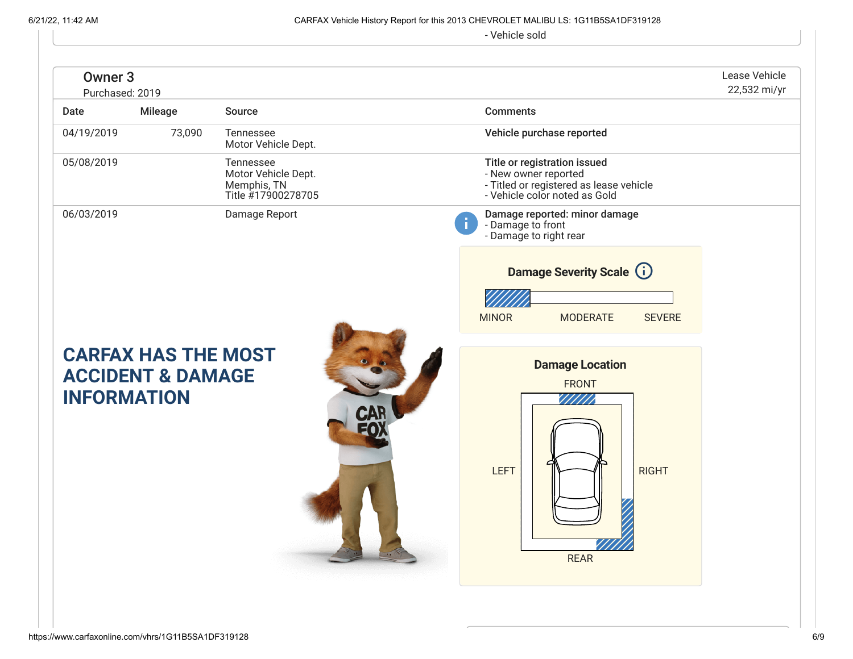# 6/21/22, 11:42 AM CARFAX Vehicle History Report for this 2013 CHEVROLET MALIBU LS: 1G11B5SA1DF319128

- Vehicle sold

<span id="page-5-0"></span>

| Owner <sub>3</sub><br>Purchased: 2019 |                                                            |                                                                       |                                                                                                                                  | Lease Vehicle<br>22,532 mi/yr |
|---------------------------------------|------------------------------------------------------------|-----------------------------------------------------------------------|----------------------------------------------------------------------------------------------------------------------------------|-------------------------------|
| Date                                  | Mileage                                                    | Source                                                                | <b>Comments</b>                                                                                                                  |                               |
| 04/19/2019                            | 73,090                                                     | Tennessee<br>Motor Vehicle Dept.                                      | Vehicle purchase reported                                                                                                        |                               |
| 05/08/2019                            |                                                            | Tennessee<br>Motor Vehicle Dept.<br>Memphis, TN<br>Title #17900278705 | Title or registration issued<br>- New owner reported<br>- Titled or registered as lease vehicle<br>- Vehicle color noted as Gold |                               |
| 06/03/2019                            |                                                            | Damage Report                                                         | Damage reported: minor damage<br>- Damage to front<br>- Damage to right rear                                                     |                               |
|                                       |                                                            |                                                                       | <b>Damage Severity Scale (i)</b>                                                                                                 |                               |
|                                       |                                                            |                                                                       | <b>MINOR</b><br><b>MODERATE</b><br><b>SEVERE</b>                                                                                 |                               |
| <b>INFORMATION</b>                    | <b>CARFAX HAS THE MOST</b><br><b>ACCIDENT &amp; DAMAGE</b> |                                                                       | <b>Damage Location</b><br><b>FRONT</b><br><b>LEFT</b><br><b>RIGHT</b><br><b>REAR</b>                                             |                               |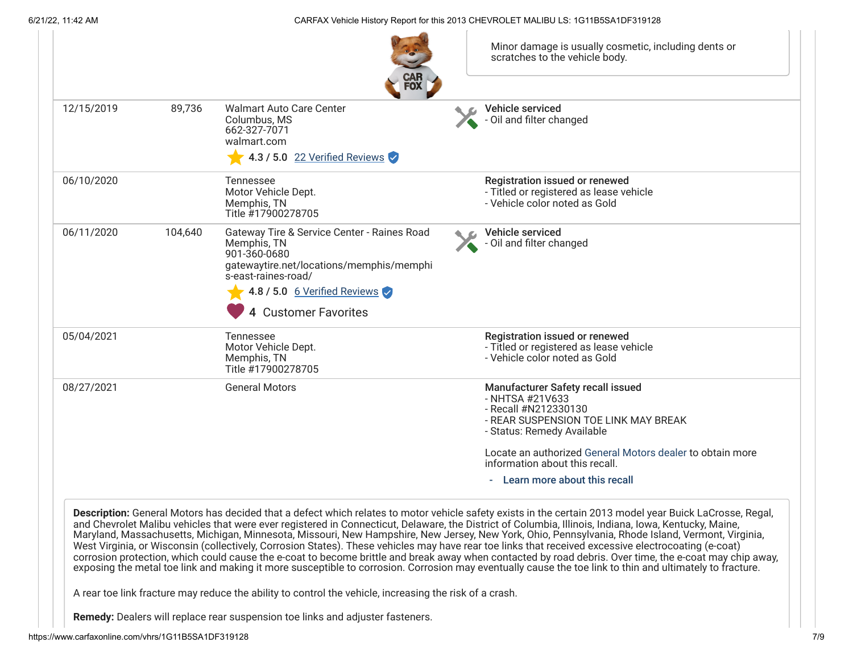6/21/22, 11:42 AM CARFAX Vehicle History Report for this 2013 CHEVROLET MALIBU LS: 1G11B5SA1DF319128

| 12/15/2019 | 89,736  | <b>Walmart Auto Care Center</b><br>Columbus, MS<br>662-327-7071<br>walmart.com<br>4.3 / 5.0 $22$ Verified Reviews                                                             | Vehicle serviced<br>- Oil and filter changed                                                                                                       |
|------------|---------|-------------------------------------------------------------------------------------------------------------------------------------------------------------------------------|----------------------------------------------------------------------------------------------------------------------------------------------------|
| 06/10/2020 |         | Tennessee<br>Motor Vehicle Dept.<br>Memphis, TN<br>Title #17900278705                                                                                                         | <b>Registration issued or renewed</b><br>- Titled or registered as lease vehicle<br>- Vehicle color noted as Gold                                  |
| 06/11/2020 | 104,640 | Gateway Tire & Service Center - Raines Road<br>Memphis, TN<br>901-360-0680<br>gatewaytire.net/locations/memphis/memphi<br>s-east-raines-road/<br>4.8 / 5.0 6 Verified Reviews | Vehicle serviced<br>- Oil and filter changed                                                                                                       |
|            |         | 4 Customer Favorites                                                                                                                                                          |                                                                                                                                                    |
| 05/04/2021 |         | Tennessee<br>Motor Vehicle Dept.<br>Memphis, TN<br>Title #17900278705                                                                                                         | <b>Registration issued or renewed</b><br>- Titled or registered as lease vehicle<br>- Vehicle color noted as Gold                                  |
| 08/27/2021 |         | <b>General Motors</b>                                                                                                                                                         | Manufacturer Safety recall issued<br>- NHTSA #21V633<br>- Recall #N212330130<br>- REAR SUSPENSION TOE LINK MAY BREAK<br>- Status: Remedy Available |
|            |         |                                                                                                                                                                               | Locate an authorized General Motors dealer to obtain more<br>information about this recall.                                                        |
|            |         |                                                                                                                                                                               | - Learn more about this recall                                                                                                                     |

A rear toe link fracture may reduce the ability to control the vehicle, increasing the risk of a crash.

**Remedy:** Dealers will replace rear suspension toe links and adjuster fasteners.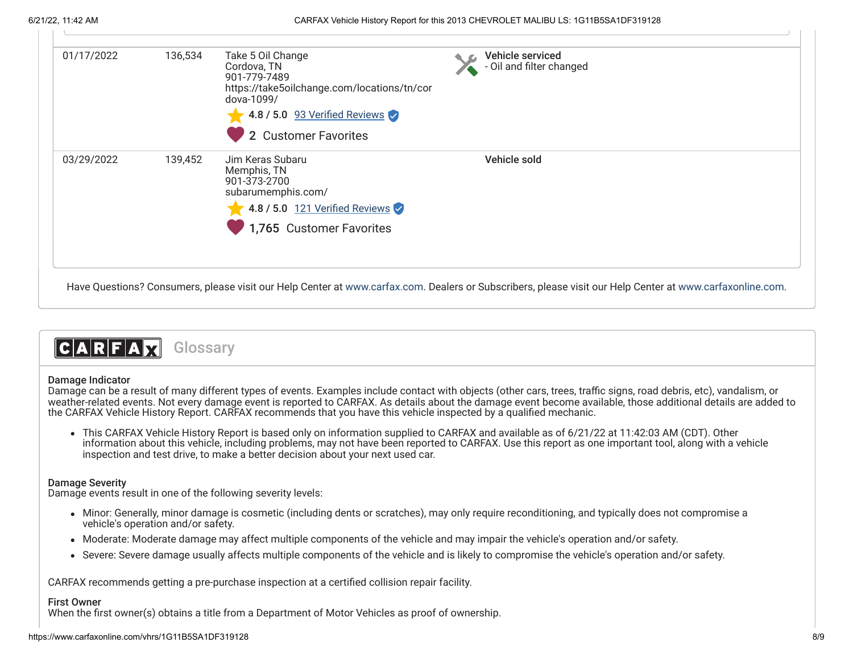| 01/17/2022 | 136,534 | Take 5 Oil Change<br>Cordova, TN<br>901-779-7489<br>https://take5oilchange.com/locations/tn/cor<br>dova-1099/<br>4.8 / 5.0 93 Verified Reviews<br>2 Customer Favorites | Vehicle serviced<br>- Oil and filter changed |
|------------|---------|------------------------------------------------------------------------------------------------------------------------------------------------------------------------|----------------------------------------------|
| 03/29/2022 | 139,452 | Jim Keras Subaru<br>Memphis, TN<br>901-373-2700<br>subarumemphis.com/<br>4.8 / 5.0 121 Verified Reviews<br>1,765 Customer Favorites                                    | Vehicle sold                                 |

Have Questions? Consumers, please visit our Help Center at [www.carfax.com](http://www.carfax.com/help). Dealers or Subscribers, please visit our Help Center at [www.carfaxonline.com](http://www.carfaxonline.com/).

# CARFAX **Glossary**

## Damage Indicator

Damage can be a result of many different types of events. Examples include contact with objects (other cars, trees, traffic signs, road debris, etc), vandalism, or weather-related events. Not every damage event is reported to CARFAX. As details about the damage event become available, those additional details are added to the CARFAX Vehicle History Report. CARFAX recommends that you have this vehicle inspected by a qualified mechanic.

This CARFAX Vehicle History Report is based only on information supplied to CARFAX and available as of 6/21/22 at 11:42:03 AM (CDT). Other information about this vehicle, including problems, may not have been reported to CARFAX. Use this report as one important tool, along with a vehicle inspection and test drive, to make a better decision about your next used car.

## Damage Severity

Damage events result in one of the following severity levels:

- Minor: Generally, minor damage is cosmetic (including dents or scratches), may only require reconditioning, and typically does not compromise a vehicle's operation and/or safety.
- Moderate: Moderate damage may affect multiple components of the vehicle and may impair the vehicle's operation and/or safety.
- Severe: Severe damage usually affects multiple components of the vehicle and is likely to compromise the vehicle's operation and/or safety.

CARFAX recommends getting a pre-purchase inspection at a certified collision repair facility.

## First Owner

When the first owner(s) obtains a title from a Department of Motor Vehicles as proof of ownership.